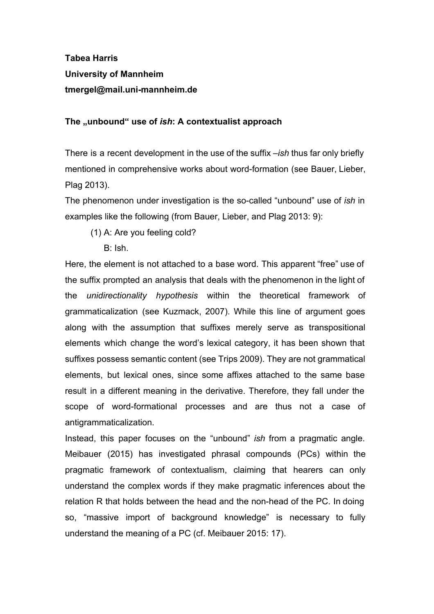## **Tabea Harris University of Mannheim** tmergel@mail.uni-mannheim.de

**The "unbound" use of**  *ish***: A contextualist approach**

There is a recent development in the use of the suffix –*ish* thus far only briefly mentioned in comprehensive works about word-formation (see Bauer, Lieber, Plag 2013).

The phenomenon under investigation is the so-called "unbound" use of *ish* in examples like the following (from Bauer, Lieber, and Plag 2013: 9):

- (1) A: Are you feeling cold?
	- B: Ish.

Here, the element is not attached to a base word. This apparent "free" use of the suffix prompted an analysis that deals with the phenomenon in the light of the *unidirectionality hypothesis* within the theoretical framework of grammaticalization (see Kuzmack, 2007). While this line of argument goes along with the assumption that suffixes merely serve as transpositional elements which change the word's lexical category, it has been shown that suffixes possess semantic content (see Trips 2009). They are not grammatical elements, but lexical ones, since some affixes attached to the same base result in a different meaning in the derivative. Therefore, they fall under the scope of word-formational processes and are thus not a case of antigrammaticalization.

Instead, this paper focuses on the "unbound" *ish* from a pragmatic angle. Meibauer (2015) has investigated phrasal compounds (PCs) within the pragmatic framework of contextualism, claiming that hearers can only understand the complex words if they make pragmatic inferences about the relation R that holds between the head and the non-head of the PC. In doing so, "massive import of background knowledge" is necessary to fully understand the meaning of a PC (cf. Meibauer 2015: 17).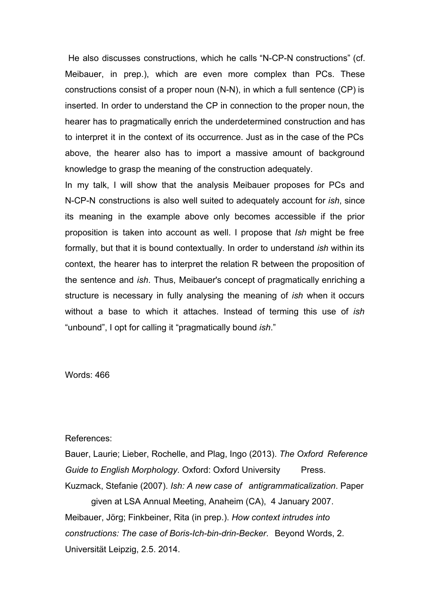He also discusses constructions, which he calls "N-CP-N constructions" (cf. Meibauer, in prep.), which are even more complex than PCs. These constructions consist of a proper noun  $(N-N)$ , in which a full sentence  $(CP)$  is inserted. In order to understand the CP in connection to the proper noun, the hearer has to pragmatically enrich the underdetermined construction and has to interpret it in the context of its occurrence. Just as in the case of the PCs above, the hearer also has to import a massive amount of background knowledge to grasp the meaning of the construction adequately.

In my talk, I will show that the analysis Meibauer proposes for PCs and N-CP-N constructions is also well suited to adequately account for *ish*, since its meaning in the example above only becomes accessible if the prior proposition is taken into account as well. I propose that *Ish* might be free formally, but that it is bound contextually. In order to understand *ish* within its context, the hearer has to interpret the relation R between the proposition of the sentence and *ish*. Thus, Meibauer's concept of pragmatically enriching a structure is necessary in fully analysing the meaning of *ish* when it occurs without a base to which it attaches. Instead of terming this use of *ish* "unbound", I opt for calling it "pragmatically bound *ish*."

Words: 466

## References:

Bauer, Laurie; Lieber, Rochelle, and Plag, Ingo (2013). *The Oxford Reference Guide to English Morphology. Oxford: Oxford University* Press. Kuzmack, Stefanie (2007). *Ish: A new case of antigrammaticalization*. Paper

given at LSA Annual Meeting, Anaheim (CA), 4 January 2007. Meibauer, Jörg; Finkbeiner, Rita (in prep.). *How context intrudes into constructions: The case of Boris-Ich-bin-drin-Becker. Beyond Words, 2.* Universität Leipzig, 2.5. 2014.